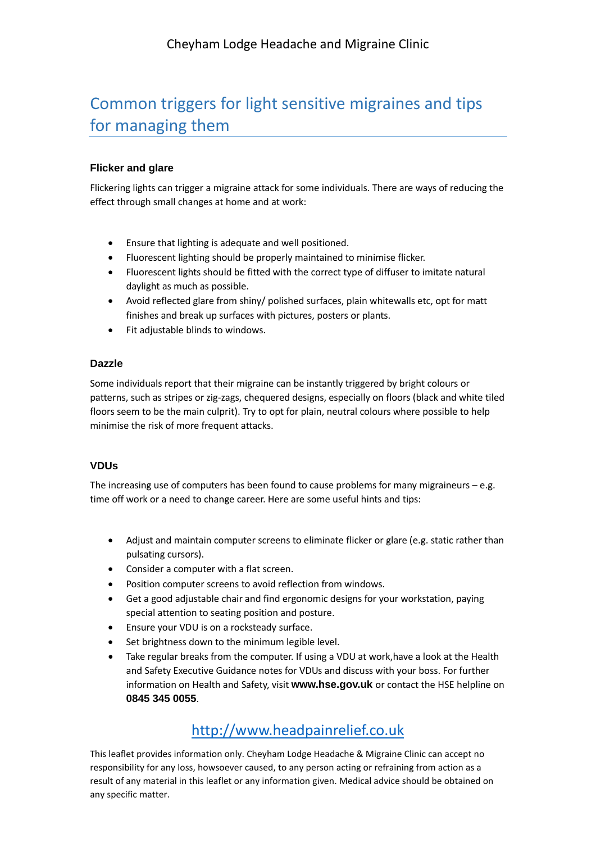# Common triggers for light sensitive migraines and tips for managing them

#### **Flicker and glare**

Flickering lights can trigger a migraine attack for some individuals. There are ways of reducing the effect through small changes at home and at work:

- Ensure that lighting is adequate and well positioned.
- Fluorescent lighting should be properly maintained to minimise flicker.
- Fluorescent lights should be fitted with the correct type of diffuser to imitate natural daylight as much as possible.
- Avoid reflected glare from shiny/ polished surfaces, plain whitewalls etc, opt for matt finishes and break up surfaces with pictures, posters or plants.
- Fit adjustable blinds to windows.

#### **Dazzle**

Some individuals report that their migraine can be instantly triggered by bright colours or patterns, such as stripes or zig-zags, chequered designs, especially on floors (black and white tiled floors seem to be the main culprit). Try to opt for plain, neutral colours where possible to help minimise the risk of more frequent attacks.

#### **VDUs**

The increasing use of computers has been found to cause problems for many migraineurs  $-$  e.g. time off work or a need to change career. Here are some useful hints and tips:

- Adjust and maintain computer screens to eliminate flicker or glare (e.g. static rather than pulsating cursors).
- Consider a computer with a flat screen.
- Position computer screens to avoid reflection from windows.
- Get a good adjustable chair and find ergonomic designs for your workstation, paying special attention to seating position and posture.
- Ensure your VDU is on a rocksteady surface.
- Set brightness down to the minimum legible level.
- Take regular breaks from the computer. If using a VDU at work, have a look at the Health and Safety Executive Guidance notes for VDUs and discuss with your boss. For further information on Health and Safety, visit **www.hse.gov.uk** or contact the HSE helpline on **0845 345 0055**.

## [http://www.headpainrelief.co.uk](http://www.headpainrelief.co.uk/)

This leaflet provides information only. Cheyham Lodge Headache & Migraine Clinic can accept no responsibility for any loss, howsoever caused, to any person acting or refraining from action as a result of any material in this leaflet or any information given. Medical advice should be obtained on any specific matter.